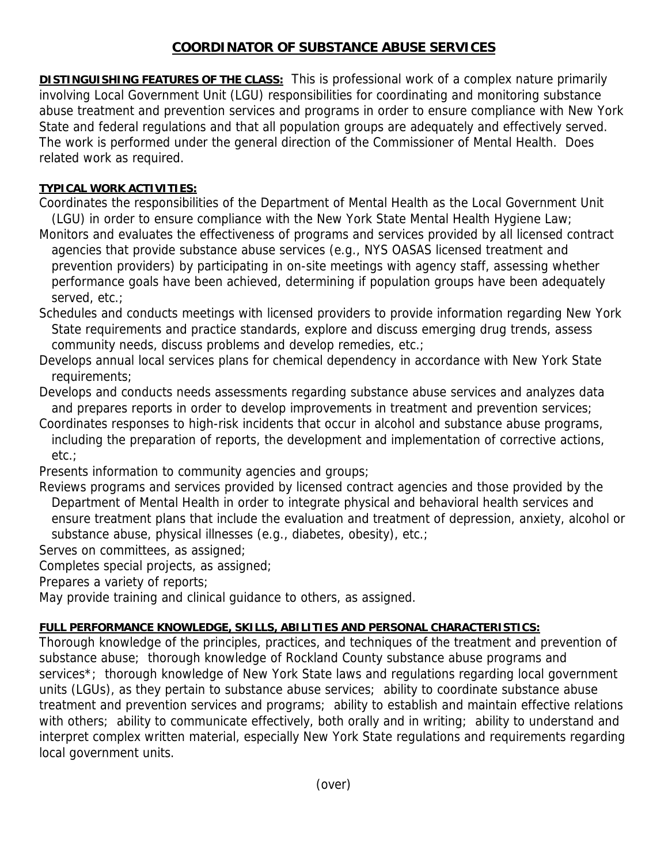## **COORDINATOR OF SUBSTANCE ABUSE SERVICES**

**DISTINGUISHING FEATURES OF THE CLASS:** This is professional work of a complex nature primarily involving Local Government Unit (LGU) responsibilities for coordinating and monitoring substance abuse treatment and prevention services and programs in order to ensure compliance with New York State and federal regulations and that all population groups are adequately and effectively served. The work is performed under the general direction of the Commissioner of Mental Health. Does related work as required.

## **TYPICAL WORK ACTIVITIES:**

Coordinates the responsibilities of the Department of Mental Health as the Local Government Unit (LGU) in order to ensure compliance with the New York State Mental Health Hygiene Law;

Monitors and evaluates the effectiveness of programs and services provided by all licensed contract agencies that provide substance abuse services (e.g., NYS OASAS licensed treatment and prevention providers) by participating in on-site meetings with agency staff, assessing whether performance goals have been achieved, determining if population groups have been adequately served, etc.;

Schedules and conducts meetings with licensed providers to provide information regarding New York State requirements and practice standards, explore and discuss emerging drug trends, assess community needs, discuss problems and develop remedies, etc.;

Develops annual local services plans for chemical dependency in accordance with New York State requirements;

Develops and conducts needs assessments regarding substance abuse services and analyzes data and prepares reports in order to develop improvements in treatment and prevention services;

Coordinates responses to high-risk incidents that occur in alcohol and substance abuse programs, including the preparation of reports, the development and implementation of corrective actions, etc.;

Presents information to community agencies and groups;

Reviews programs and services provided by licensed contract agencies and those provided by the Department of Mental Health in order to integrate physical and behavioral health services and ensure treatment plans that include the evaluation and treatment of depression, anxiety, alcohol or substance abuse, physical illnesses (e.g., diabetes, obesity), etc.;

Serves on committees, as assigned;

Completes special projects, as assigned;

Prepares a variety of reports;

May provide training and clinical guidance to others, as assigned.

## **FULL PERFORMANCE KNOWLEDGE, SKILLS, ABILITIES AND PERSONAL CHARACTERISTICS:**

Thorough knowledge of the principles, practices, and techniques of the treatment and prevention of substance abuse; thorough knowledge of Rockland County substance abuse programs and services<sup>\*</sup>; thorough knowledge of New York State laws and regulations regarding local government units (LGUs), as they pertain to substance abuse services; ability to coordinate substance abuse treatment and prevention services and programs; ability to establish and maintain effective relations with others; ability to communicate effectively, both orally and in writing; ability to understand and interpret complex written material, especially New York State regulations and requirements regarding local government units.